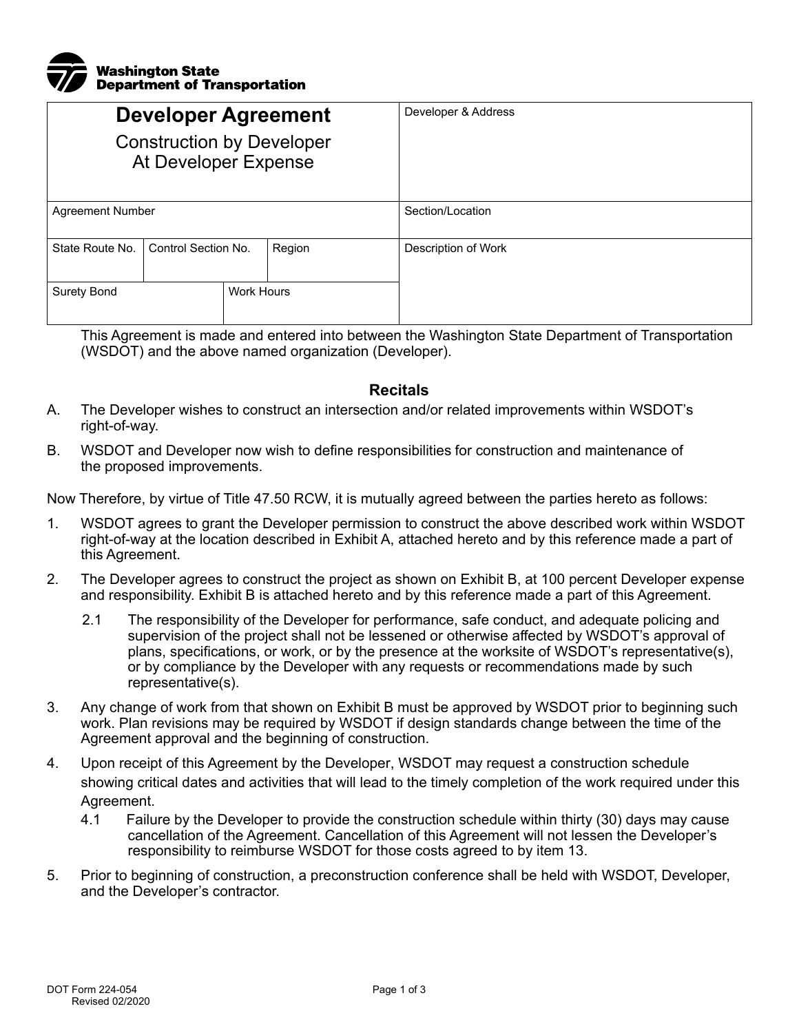

| <b>Developer Agreement</b><br><b>Construction by Developer</b><br>At Developer Expense |                     |                   |        | Developer & Address |
|----------------------------------------------------------------------------------------|---------------------|-------------------|--------|---------------------|
| <b>Agreement Number</b>                                                                |                     |                   |        | Section/Location    |
| State Route No.                                                                        | Control Section No. |                   | Region | Description of Work |
| <b>Surety Bond</b>                                                                     |                     | <b>Work Hours</b> |        |                     |

This Agreement is made and entered into between the Washington State Department of Transportation (WSDOT) and the above named organization (Developer).

## **Recitals**

- A. The Developer wishes to construct an intersection and/or related improvements within WSDOT's right-of-way.
- B. WSDOT and Developer now wish to define responsibilities for construction and maintenance of the proposed improvements.

Now Therefore, by virtue of Title 47.50 RCW, it is mutually agreed between the parties hereto as follows:

- 1. WSDOT agrees to grant the Developer permission to construct the above described work within WSDOT right-of-way at the location described in Exhibit A, attached hereto and by this reference made a part of this Agreement.
- 2. The Developer agrees to construct the project as shown on Exhibit B, at 100 percent Developer expense and responsibility. Exhibit B is attached hereto and by this reference made a part of this Agreement.
	- 2.1 The responsibility of the Developer for performance, safe conduct, and adequate policing and supervision of the project shall not be lessened or otherwise affected by WSDOT's approval of plans, specifications, or work, or by the presence at the worksite of WSDOT's representative(s), or by compliance by the Developer with any requests or recommendations made by such representative(s).
- 3. Any change of work from that shown on Exhibit B must be approved by WSDOT prior to beginning such work. Plan revisions may be required by WSDOT if design standards change between the time of the Agreement approval and the beginning of construction.
- 4. Upon receipt of this Agreement by the Developer, WSDOT may request a construction schedule showing critical dates and activities that will lead to the timely completion of the work required under this Agreement.
	- 4.1 Failure by the Developer to provide the construction schedule within thirty (30) days may cause cancellation of the Agreement. Cancellation of this Agreement will not lessen the Developer's responsibility to reimburse WSDOT for those costs agreed to by item 13.
- 5. Prior to beginning of construction, a preconstruction conference shall be held with WSDOT, Developer, and the Developer's contractor.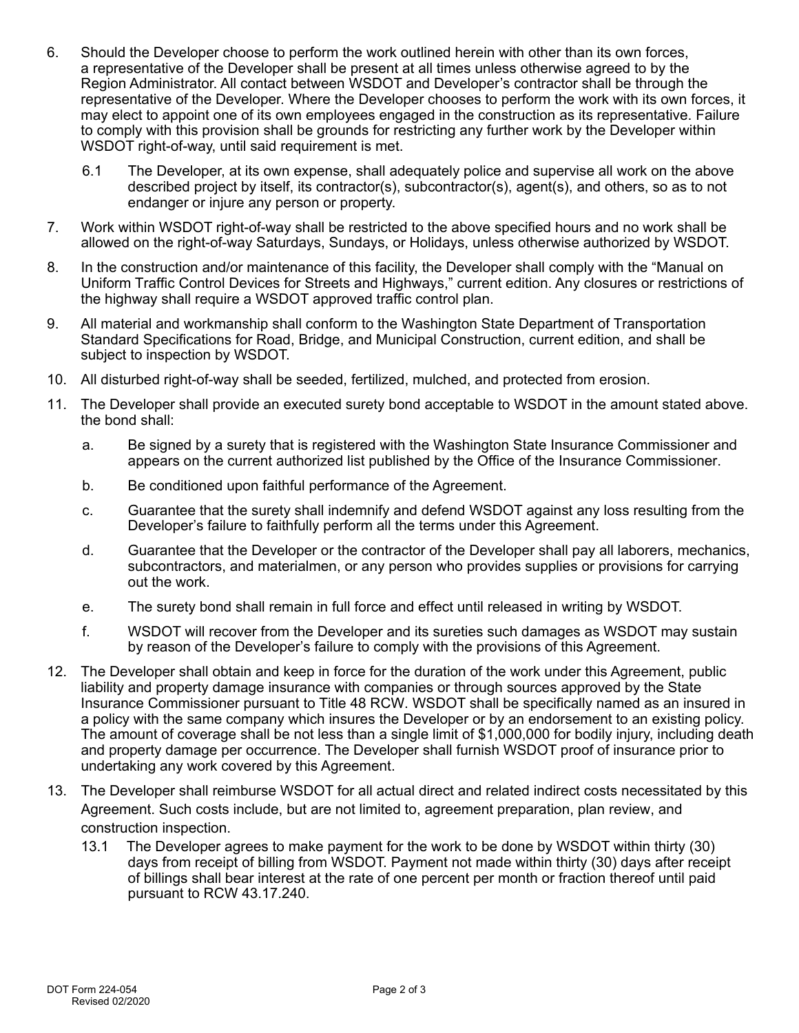- 6. Should the Developer choose to perform the work outlined herein with other than its own forces, a representative of the Developer shall be present at all times unless otherwise agreed to by the Region Administrator. All contact between WSDOT and Developer's contractor shall be through the representative of the Developer. Where the Developer chooses to perform the work with its own forces, it may elect to appoint one of its own employees engaged in the construction as its representative. Failure to comply with this provision shall be grounds for restricting any further work by the Developer within WSDOT right-of-way, until said requirement is met.
	- 6.1 The Developer, at its own expense, shall adequately police and supervise all work on the above described project by itself, its contractor(s), subcontractor(s), agent(s), and others, so as to not endanger or injure any person or property.
- 7. Work within WSDOT right-of-way shall be restricted to the above specified hours and no work shall be allowed on the right-of-way Saturdays, Sundays, or Holidays, unless otherwise authorized by WSDOT.
- 8. In the construction and/or maintenance of this facility, the Developer shall comply with the "Manual on Uniform Traffic Control Devices for Streets and Highways," current edition. Any closures or restrictions of the highway shall require a WSDOT approved traffic control plan.
- 9. All material and workmanship shall conform to the Washington State Department of Transportation Standard Specifications for Road, Bridge, and Municipal Construction, current edition, and shall be subject to inspection by WSDOT.
- 10. All disturbed right-of-way shall be seeded, fertilized, mulched, and protected from erosion.
- 11. The Developer shall provide an executed surety bond acceptable to WSDOT in the amount stated above. the bond shall:
	- a. Be signed by a surety that is registered with the Washington State Insurance Commissioner and appears on the current authorized list published by the Office of the Insurance Commissioner.
	- b. Be conditioned upon faithful performance of the Agreement.
	- c. Guarantee that the surety shall indemnify and defend WSDOT against any loss resulting from the Developer's failure to faithfully perform all the terms under this Agreement.
	- d. Guarantee that the Developer or the contractor of the Developer shall pay all laborers, mechanics, subcontractors, and materialmen, or any person who provides supplies or provisions for carrying out the work.
	- e. The surety bond shall remain in full force and effect until released in writing by WSDOT.
	- f. WSDOT will recover from the Developer and its sureties such damages as WSDOT may sustain by reason of the Developer's failure to comply with the provisions of this Agreement.
- 12. The Developer shall obtain and keep in force for the duration of the work under this Agreement, public liability and property damage insurance with companies or through sources approved by the State Insurance Commissioner pursuant to Title 48 RCW. WSDOT shall be specifically named as an insured in a policy with the same company which insures the Developer or by an endorsement to an existing policy. The amount of coverage shall be not less than a single limit of \$1,000,000 for bodily injury, including death and property damage per occurrence. The Developer shall furnish WSDOT proof of insurance prior to undertaking any work covered by this Agreement.
- 13. The Developer shall reimburse WSDOT for all actual direct and related indirect costs necessitated by this Agreement. Such costs include, but are not limited to, agreement preparation, plan review, and construction inspection.
	- 13.1 The Developer agrees to make payment for the work to be done by WSDOT within thirty (30) days from receipt of billing from WSDOT. Payment not made within thirty (30) days after receipt of billings shall bear interest at the rate of one percent per month or fraction thereof until paid pursuant to RCW 43.17.240.